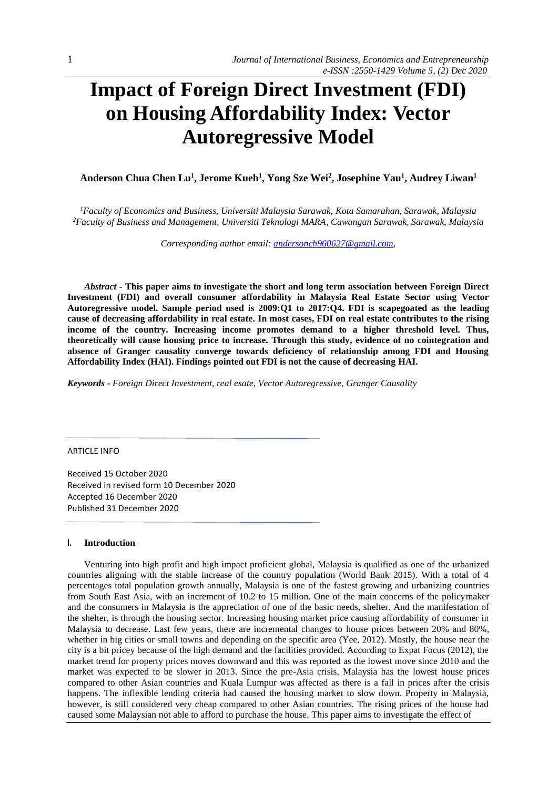# **Impact of Foreign Direct Investment (FDI) on Housing Affordability Index: Vector Autoregressive Model**

**Anderson Chua Chen Lu<sup>1</sup> , Jerome Kueh<sup>1</sup> , Yong Sze Wei<sup>2</sup> , Josephine Yau<sup>1</sup> , Audrey Liwan<sup>1</sup>**

*<sup>1</sup>Faculty of Economics and Business, Universiti Malaysia Sarawak, Kota Samarahan, Sarawak, Malaysia <sup>2</sup>Faculty of Business and Management, Universiti Teknologi MARA, Cawangan Sarawak, Sarawak, Malaysia*

*Corresponding author email: [andersonch960627@gmail.com,](mailto:andersonch960627@gmail.com1)*

*Abstract -* **This paper aims to investigate the short and long term association between Foreign Direct Investment (FDI) and overall consumer affordability in Malaysia Real Estate Sector using Vector Autoregressive model. Sample period used is 2009:Q1 to 2017:Q4. FDI is scapegoated as the leading cause of decreasing affordability in real estate. In most cases, FDI on real estate contributes to the rising income of the country. Increasing income promotes demand to a higher threshold level. Thus, theoretically will cause housing price to increase. Through this study, evidence of no cointegration and absence of Granger causality converge towards deficiency of relationship among FDI and Housing Affordability Index (HAI). Findings pointed out FDI is not the cause of decreasing HAI.**

*Keywords - Foreign Direct Investment, real esate, Vector Autoregressive, Granger Causality*

ARTICLE INFO

Received 15 October 2020 Received in revised form 10 December 2020 Accepted 16 December 2020 Published 31 December 2020

#### **I. Introduction**

Venturing into high profit and high impact proficient global, Malaysia is qualified as one of the urbanized countries aligning with the stable increase of the country population (World Bank 2015). With a total of 4 percentages total population growth annually, Malaysia is one of the fastest growing and urbanizing countries from South East Asia, with an increment of 10.2 to 15 million. One of the main concerns of the policymaker and the consumers in Malaysia is the appreciation of one of the basic needs, shelter. And the manifestation of the shelter, is through the housing sector. Increasing housing market price causing affordability of consumer in Malaysia to decrease. Last few years, there are incremental changes to house prices between 20% and 80%, whether in big cities or small towns and depending on the specific area (Yee, 2012). Mostly, the house near the city is a bit pricey because of the high demand and the facilities provided. According to Expat Focus (2012), the market trend for property prices moves downward and this was reported as the lowest move since 2010 and the market was expected to be slower in 2013. Since the pre-Asia crisis, Malaysia has the lowest house prices compared to other Asian countries and Kuala Lumpur was affected as there is a fall in prices after the crisis happens. The inflexible lending criteria had caused the housing market to slow down. Property in Malaysia, however, is still considered very cheap compared to other Asian countries. The rising prices of the house had caused some Malaysian not able to afford to purchase the house. This paper aims to investigate the effect of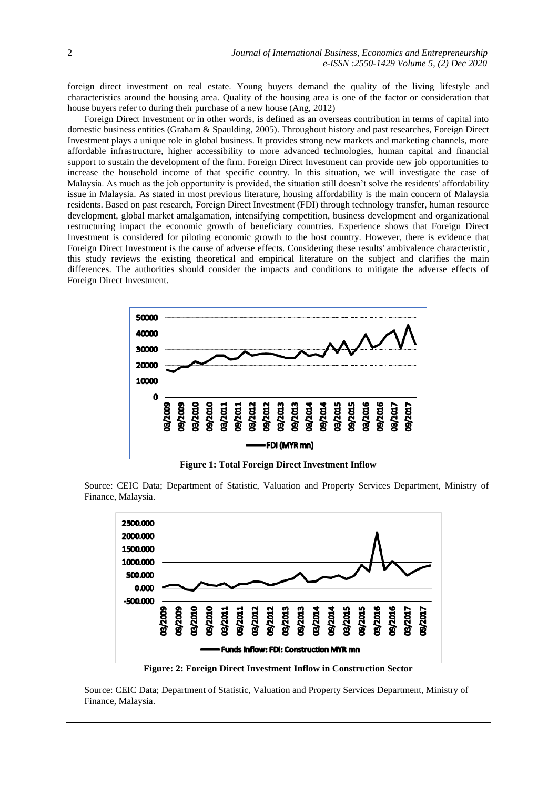foreign direct investment on real estate. Young buyers demand the quality of the living lifestyle and characteristics around the housing area. Quality of the housing area is one of the factor or consideration that house buyers refer to during their purchase of a new house (Ang, 2012)

Foreign Direct Investment or in other words, is defined as an overseas contribution in terms of capital into domestic business entities (Graham & Spaulding, 2005). Throughout history and past researches, Foreign Direct Investment plays a unique role in global business. It provides strong new markets and marketing channels, more affordable infrastructure, higher accessibility to more advanced technologies, human capital and financial support to sustain the development of the firm. Foreign Direct Investment can provide new job opportunities to increase the household income of that specific country. In this situation, we will investigate the case of Malaysia. As much as the job opportunity is provided, the situation still doesn't solve the residents' affordability issue in Malaysia. As stated in most previous literature, housing affordability is the main concern of Malaysia residents. Based on past research, Foreign Direct Investment (FDI) through technology transfer, human resource development, global market amalgamation, intensifying competition, business development and organizational restructuring impact the economic growth of beneficiary countries. Experience shows that Foreign Direct Investment is considered for piloting economic growth to the host country. However, there is evidence that Foreign Direct Investment is the cause of adverse effects. Considering these results' ambivalence characteristic, this study reviews the existing theoretical and empirical literature on the subject and clarifies the main differences. The authorities should consider the impacts and conditions to mitigate the adverse effects of Foreign Direct Investment.



**Figure 1: Total Foreign Direct Investment Inflow**

Source: CEIC Data; Department of Statistic, Valuation and Property Services Department, Ministry of Finance, Malaysia.



**Figure: 2: Foreign Direct Investment Inflow in Construction Sector**

Source: CEIC Data; Department of Statistic, Valuation and Property Services Department, Ministry of Finance, Malaysia.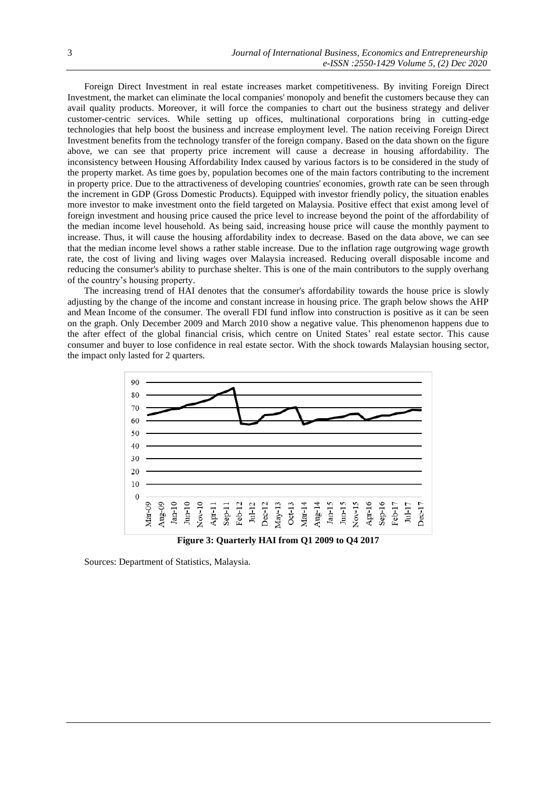Foreign Direct Investment in real estate increases market competitiveness. By inviting Foreign Direct Investment, the market can eliminate the local companies' monopoly and benefit the customers because they can avail quality products. Moreover, it will force the companies to chart out the business strategy and deliver customer-centric services. While setting up offices, multinational corporations bring in cutting-edge technologies that help boost the business and increase employment level. The nation receiving Foreign Direct Investment benefits from the technology transfer of the foreign company. Based on the data shown on the figure above, we can see that property price increment will cause a decrease in housing affordability. The inconsistency between Housing Affordability Index caused by various factors is to be considered in the study of the property market. As time goes by, population becomes one of the main factors contributing to the increment in property price. Due to the attractiveness of developing countries' economies, growth rate can be seen through the increment in GDP (Gross Domestic Products). Equipped with investor friendly policy, the situation enables more investor to make investment onto the field targeted on Malaysia. Positive effect that exist among level of foreign investment and housing price caused the price level to increase beyond the point of the affordability of the median income level household. As being said, increasing house price will cause the monthly payment to increase. Thus, it will cause the housing affordability index to decrease. Based on the data above, we can see that the median income level shows a rather stable increase. Due to the inflation rage outgrowing wage growth rate, the cost of living and living wages over Malaysia increased. Reducing overall disposable income and reducing the consumer's ability to purchase shelter. This is one of the main contributors to the supply overhang of the country's housing property.

The increasing trend of HAI denotes that the consumer's affordability towards the house price is slowly adjusting by the change of the income and constant increase in housing price. The graph below shows the AHP and Mean Income of the consumer. The overall FDI fund inflow into construction is positive as it can be seen on the graph. Only December 2009 and March 2010 show a negative value. This phenomenon happens due to the after effect of the global financial crisis, which centre on United States' real estate sector. This cause consumer and buyer to lose confidence in real estate sector. With the shock towards Malaysian housing sector, the impact only lasted for 2 quarters.



Sources: Department of Statistics, Malaysia.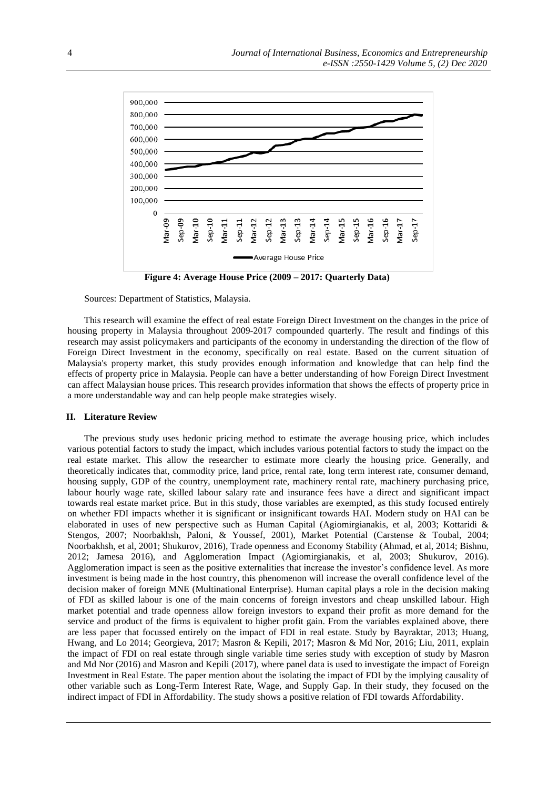

**Figure 4: Average House Price (2009 – 2017: Quarterly Data)**

Sources: Department of Statistics, Malaysia.

This research will examine the effect of real estate Foreign Direct Investment on the changes in the price of housing property in Malaysia throughout 2009-2017 compounded quarterly. The result and findings of this research may assist policymakers and participants of the economy in understanding the direction of the flow of Foreign Direct Investment in the economy, specifically on real estate. Based on the current situation of Malaysia's property market, this study provides enough information and knowledge that can help find the effects of property price in Malaysia. People can have a better understanding of how Foreign Direct Investment can affect Malaysian house prices. This research provides information that shows the effects of property price in a more understandable way and can help people make strategies wisely.

#### **II. Literature Review**

The previous study uses hedonic pricing method to estimate the average housing price, which includes various potential factors to study the impact, which includes various potential factors to study the impact on the real estate market. This allow the researcher to estimate more clearly the housing price. Generally, and theoretically indicates that, commodity price, land price, rental rate, long term interest rate, consumer demand, housing supply, GDP of the country, unemployment rate, machinery rental rate, machinery purchasing price, labour hourly wage rate, skilled labour salary rate and insurance fees have a direct and significant impact towards real estate market price. But in this study, those variables are exempted, as this study focused entirely on whether FDI impacts whether it is significant or insignificant towards HAI. Modern study on HAI can be elaborated in uses of new perspective such as Human Capital (Agiomirgianakis, et al, 2003; Kottaridi & Stengos, 2007; Noorbakhsh, Paloni, & Youssef, 2001), Market Potential (Carstense & Toubal, 2004; Noorbakhsh, et al, 2001; Shukurov, 2016), Trade openness and Economy Stability (Ahmad, et al, 2014; Bishnu, 2012; Jamesa 2016), and Agglomeration Impact (Agiomirgianakis, et al, 2003; Shukurov, 2016). Agglomeration impact is seen as the positive externalities that increase the investor's confidence level. As more investment is being made in the host country, this phenomenon will increase the overall confidence level of the decision maker of foreign MNE (Multinational Enterprise). Human capital plays a role in the decision making of FDI as skilled labour is one of the main concerns of foreign investors and cheap unskilled labour. High market potential and trade openness allow foreign investors to expand their profit as more demand for the service and product of the firms is equivalent to higher profit gain. From the variables explained above, there are less paper that focussed entirely on the impact of FDI in real estate. Study by Bayraktar, 2013; Huang, Hwang, and Lo 2014; Georgieva, 2017; Masron & Kepili, 2017; Masron & Md Nor, 2016; Liu, 2011, explain the impact of FDI on real estate through single variable time series study with exception of study by Masron and Md Nor (2016) and Masron and Kepili (2017), where panel data is used to investigate the impact of Foreign Investment in Real Estate. The paper mention about the isolating the impact of FDI by the implying causality of other variable such as Long-Term Interest Rate, Wage, and Supply Gap. In their study, they focused on the indirect impact of FDI in Affordability. The study shows a positive relation of FDI towards Affordability.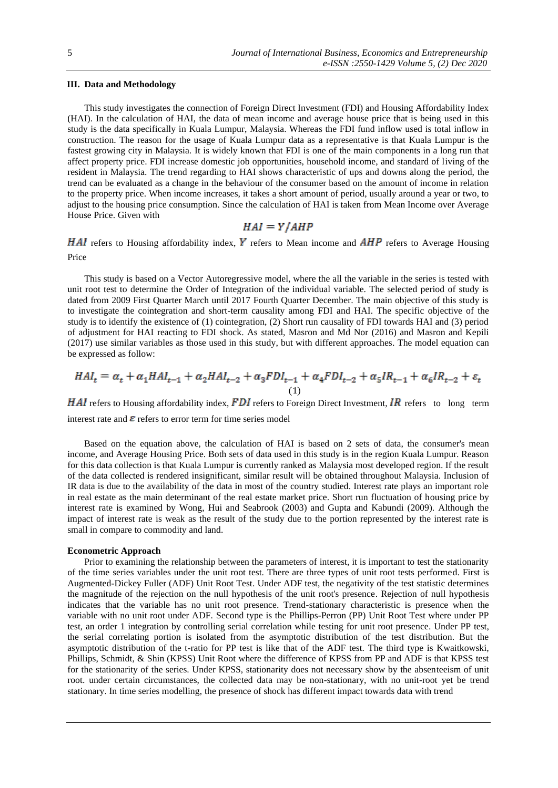## **III. Data and Methodology**

This study investigates the connection of Foreign Direct Investment (FDI) and Housing Affordability Index (HAI). In the calculation of HAI, the data of mean income and average house price that is being used in this study is the data specifically in Kuala Lumpur, Malaysia. Whereas the FDI fund inflow used is total inflow in construction. The reason for the usage of Kuala Lumpur data as a representative is that Kuala Lumpur is the fastest growing city in Malaysia. It is widely known that FDI is one of the main components in a long run that affect property price. FDI increase domestic job opportunities, household income, and standard of living of the resident in Malaysia. The trend regarding to HAI shows characteristic of ups and downs along the period, the trend can be evaluated as a change in the behaviour of the consumer based on the amount of income in relation to the property price. When income increases, it takes a short amount of period, usually around a year or two, to adjust to the housing price consumption. Since the calculation of HAI is taken from Mean Income over Average House Price. Given with

$$
HAI = Y/AHP
$$

 $HAI$  refers to Housing affordability index, Y refers to Mean income and  $AHP$  refers to Average Housing Price

This study is based on a Vector Autoregressive model, where the all the variable in the series is tested with unit root test to determine the Order of Integration of the individual variable. The selected period of study is dated from 2009 First Quarter March until 2017 Fourth Quarter December. The main objective of this study is to investigate the cointegration and short-term causality among FDI and HAI. The specific objective of the study is to identify the existence of (1) cointegration, (2) Short run causality of FDI towards HAI and (3) period of adjustment for HAI reacting to FDI shock. As stated, Masron and Md Nor (2016) and Masron and Kepili (2017) use similar variables as those used in this study, but with different approaches. The model equation can be expressed as follow:

$$
HAI_{t} = \alpha_{t} + \alpha_{1} HAI_{t-1} + \alpha_{2} HAI_{t-2} + \alpha_{3} FDI_{t-1} + \alpha_{4} FDI_{t-2} + \alpha_{5} IR_{t-1} + \alpha_{6} IR_{t-2} + \varepsilon_{t}
$$
\n(1)

**HAI** refers to Housing affordability index, FDI refers to Foreign Direct Investment, IR refers to long term interest rate and  $\varepsilon$  refers to error term for time series model

Based on the equation above, the calculation of HAI is based on 2 sets of data, the consumer's mean income, and Average Housing Price. Both sets of data used in this study is in the region Kuala Lumpur. Reason for this data collection is that Kuala Lumpur is currently ranked as Malaysia most developed region. If the result of the data collected is rendered insignificant, similar result will be obtained throughout Malaysia. Inclusion of IR data is due to the availability of the data in most of the country studied. Interest rate plays an important role in real estate as the main determinant of the real estate market price. Short run fluctuation of housing price by interest rate is examined by Wong, Hui and Seabrook (2003) and Gupta and Kabundi (2009). Although the impact of interest rate is weak as the result of the study due to the portion represented by the interest rate is small in compare to commodity and land.

#### **Econometric Approach**

Prior to examining the relationship between the parameters of interest, it is important to test the stationarity of the time series variables under the unit root test. There are three types of unit root tests performed. First is Augmented-Dickey Fuller (ADF) Unit Root Test. Under ADF test, the negativity of the test statistic determines the magnitude of the rejection on the null hypothesis of the unit root's presence. Rejection of null hypothesis indicates that the variable has no unit root presence. Trend-stationary characteristic is presence when the variable with no unit root under ADF. Second type is the Phillips-Perron (PP) Unit Root Test where under PP test, an order 1 integration by controlling serial correlation while testing for unit root presence. Under PP test, the serial correlating portion is isolated from the asymptotic distribution of the test distribution. But the asymptotic distribution of the t-ratio for PP test is like that of the ADF test. The third type is Kwaitkowski, Phillips, Schmidt, & Shin (KPSS) Unit Root where the difference of KPSS from PP and ADF is that KPSS test for the stationarity of the series. Under KPSS, stationarity does not necessary show by the absenteeism of unit root. under certain circumstances, the collected data may be non-stationary, with no unit-root yet be trend stationary. In time series modelling, the presence of shock has different impact towards data with trend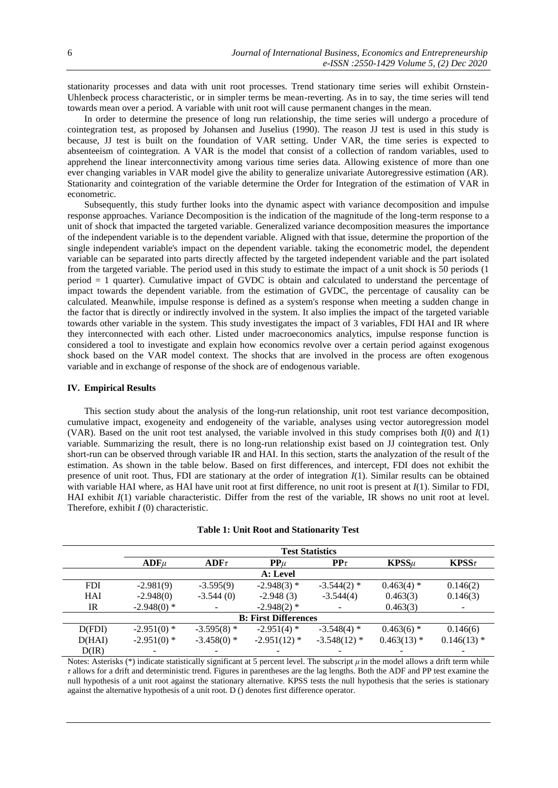stationarity processes and data with unit root processes. Trend stationary time series will exhibit Ornstein-Uhlenbeck process characteristic, or in simpler terms be mean-reverting. As in to say, the time series will tend towards mean over a period. A variable with unit root will cause permanent changes in the mean.

In order to determine the presence of long run relationship, the time series will undergo a procedure of cointegration test, as proposed by Johansen and Juselius (1990). The reason JJ test is used in this study is because, JJ test is built on the foundation of VAR setting. Under VAR, the time series is expected to absenteeism of cointegration. A VAR is the model that consist of a collection of random variables, used to apprehend the linear interconnectivity among various time series data. Allowing existence of more than one ever changing variables in VAR model give the ability to generalize univariate Autoregressive estimation (AR). Stationarity and cointegration of the variable determine the Order for Integration of the estimation of VAR in econometric.

Subsequently, this study further looks into the dynamic aspect with variance decomposition and impulse response approaches. Variance Decomposition is the indication of the magnitude of the long-term response to a unit of shock that impacted the targeted variable. Generalized variance decomposition measures the importance of the independent variable is to the dependent variable. Aligned with that issue, determine the proportion of the single independent variable's impact on the dependent variable. taking the econometric model, the dependent variable can be separated into parts directly affected by the targeted independent variable and the part isolated from the targeted variable. The period used in this study to estimate the impact of a unit shock is 50 periods (1 period = 1 quarter). Cumulative impact of GVDC is obtain and calculated to understand the percentage of impact towards the dependent variable. from the estimation of GVDC, the percentage of causality can be calculated. Meanwhile, impulse response is defined as a system's response when meeting a sudden change in the factor that is directly or indirectly involved in the system. It also implies the impact of the targeted variable towards other variable in the system. This study investigates the impact of 3 variables, FDI HAI and IR where they interconnected with each other. Listed under macroeconomics analytics, impulse response function is considered a tool to investigate and explain how economics revolve over a certain period against exogenous shock based on the VAR model context. The shocks that are involved in the process are often exogenous variable and in exchange of response of the shock are of endogenous variable.

### **IV. Empirical Results**

This section study about the analysis of the long-run relationship, unit root test variance decomposition, cumulative impact, exogeneity and endogeneity of the variable, analyses using vector autoregression model (VAR). Based on the unit root test analysed, the variable involved in this study comprises both *I*(0) and *I*(1) variable. Summarizing the result, there is no long-run relationship exist based on JJ cointegration test. Only short-run can be observed through variable IR and HAI. In this section, starts the analyzation of the result of the estimation. As shown in the table below. Based on first differences, and intercept, FDI does not exhibit the presence of unit root. Thus, FDI are stationary at the order of integration *I*(1). Similar results can be obtained with variable HAI where, as HAI have unit root at first difference, no unit root is present at *I*(1). Similar to FDI, HAI exhibit  $I(1)$  variable characteristic. Differ from the rest of the variable, IR shows no unit root at level. Therefore, exhibit *I* (0) characteristic.

|                             | <b>Test Statistics</b> |               |                |                              |               |                          |  |  |
|-----------------------------|------------------------|---------------|----------------|------------------------------|---------------|--------------------------|--|--|
|                             | $ADF\mu$               | $ADF\tau$     | ${\bf PP} \mu$ | $\mathbf{P} \mathbf{P} \tau$ | $KPSS\mu$     | $KPSS\tau$               |  |  |
|                             |                        |               | A: Level       |                              |               |                          |  |  |
| <b>FDI</b>                  | $-2.981(9)$            | $-3.595(9)$   | $-2.948(3)$ *  | $-3.544(2)$ *                | $0.463(4)$ *  | 0.146(2)                 |  |  |
| HAI                         | $-2.948(0)$            | $-3.544(0)$   | $-2.948(3)$    | $-3.544(4)$                  | 0.463(3)      | 0.146(3)                 |  |  |
| IR                          | $-2.948(0)$ *          |               | $-2.948(2)$ *  |                              | 0.463(3)      | -                        |  |  |
| <b>B: First Differences</b> |                        |               |                |                              |               |                          |  |  |
| D(FDI)                      | $-2.951(0)$ *          | $-3.595(8)$ * | $-2.951(4)$ *  | $-3.548(4)$ *                | $0.463(6)$ *  | 0.146(6)                 |  |  |
| D(HAI)                      | $-2.951(0)$ *          | $-3.458(0)$ * | $-2.951(12)$ * | $-3.548(12)$ *               | $0.463(13)$ * | $0.146(13)$ *            |  |  |
| D(IR)                       |                        |               |                |                              |               | $\overline{\phantom{0}}$ |  |  |

|  |  |  |  | <b>Table 1: Unit Root and Stationarity Test</b> |  |
|--|--|--|--|-------------------------------------------------|--|
|--|--|--|--|-------------------------------------------------|--|

Notes: Asterisks (\*) indicate statistically significant at 5 percent level. The subscript *μ* in the model allows a drift term while *τ* allows for a drift and deterministic trend. Figures in parentheses are the lag lengths. Both the ADF and PP test examine the null hypothesis of a unit root against the stationary alternative. KPSS tests the null hypothesis that the series is stationary against the alternative hypothesis of a unit root. D () denotes first difference operator.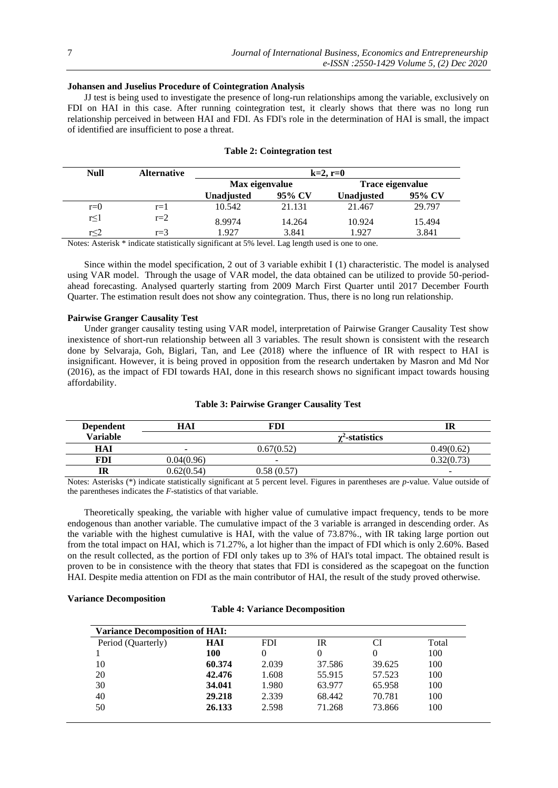## **Johansen and Juselius Procedure of Cointegration Analysis**

JJ test is being used to investigate the presence of long-run relationships among the variable, exclusively on FDI on HAI in this case. After running cointegration test, it clearly shows that there was no long run relationship perceived in between HAI and FDI. As FDI's role in the determination of HAI is small, the impact of identified are insufficient to pose a threat.

| <b>Null</b> | <b>Alternative</b> | $k=2, r=0$        |        |                  |        |  |  |
|-------------|--------------------|-------------------|--------|------------------|--------|--|--|
|             |                    | Max eigenvalue    |        | Trace eigenvalue |        |  |  |
|             |                    | <b>Unadjusted</b> | 95% CV | Unadjusted       | 95% CV |  |  |
| $r=0$       | $r=1$              | 10.542            | 21.131 | 21.467           | 29.797 |  |  |
| r<1         | $r=2$              | 8.9974            | 14.264 | 10.924           | 15.494 |  |  |
| r<2         | $r=3$              | 1.927             | 3.841  | 1.927            | 3.841  |  |  |

## **Table 2: Cointegration test**

Notes: Asterisk \* indicate statistically significant at 5% level. Lag length used is one to one.

Since within the model specification, 2 out of 3 variable exhibit I (1) characteristic. The model is analysed using VAR model. Through the usage of VAR model, the data obtained can be utilized to provide 50-periodahead forecasting. Analysed quarterly starting from 2009 March First Quarter until 2017 December Fourth Quarter. The estimation result does not show any cointegration. Thus, there is no long run relationship.

## **Pairwise Granger Causality Test**

Under granger causality testing using VAR model, interpretation of Pairwise Granger Causality Test show inexistence of short-run relationship between all 3 variables. The result shown is consistent with the research done by Selvaraja, Goh, Biglari, Tan, and Lee (2018) where the influence of IR with respect to HAI is insignificant. However, it is being proved in opposition from the research undertaken by Masron and Md Nor (2016), as the impact of FDI towards HAI, done in this research shows no significant impact towards housing affordability.

## **Table 3: Pairwise Granger Causality Test**

| <b>Dependent</b> | <b>HAI</b> | FD)            |                        | IR                       |
|------------------|------------|----------------|------------------------|--------------------------|
| <b>Variable</b>  |            |                | $\gamma^2$ -statistics |                          |
| HAI              | -          | 0.67(0.52)     |                        | 0.49(0.62)               |
| FDI              | 0.04(0.96) | -              |                        | 0.32(0.73)               |
| IR               | 0.62(0.54) | $0.58\ (0.57)$ |                        | $\overline{\phantom{a}}$ |

Notes: Asterisks (\*) indicate statistically significant at 5 percent level. Figures in parentheses are *p*-value. Value outside of the parentheses indicates the *F*-statistics of that variable.

Theoretically speaking, the variable with higher value of cumulative impact frequency, tends to be more endogenous than another variable. The cumulative impact of the 3 variable is arranged in descending order. As the variable with the highest cumulative is HAI, with the value of 73.87%., with IR taking large portion out from the total impact on HAI, which is 71.27%, a lot higher than the impact of FDI which is only 2.60%. Based on the result collected, as the portion of FDI only takes up to 3% of HAI's total impact. The obtained result is proven to be in consistence with the theory that states that FDI is considered as the scapegoat on the function HAI. Despite media attention on FDI as the main contributor of HAI, the result of the study proved otherwise.

## **Variance Decomposition**

## **Table 4: Variance Decomposition**

| <b>Variance Decomposition of HAI:</b> |        |            |        |        |       |  |
|---------------------------------------|--------|------------|--------|--------|-------|--|
| Period (Quarterly)                    | HAI    | <b>FDI</b> | IR     |        | Total |  |
|                                       | 100    |            |        | 0      | 100   |  |
| 10                                    | 60.374 | 2.039      | 37.586 | 39.625 | 100   |  |
| 20                                    | 42.476 | 1.608      | 55.915 | 57.523 | 100   |  |
| 30                                    | 34.041 | 1.980      | 63.977 | 65.958 | 100   |  |
| 40                                    | 29.218 | 2.339      | 68.442 | 70.781 | 100   |  |
| 50                                    | 26.133 | 2.598      | 71.268 | 73.866 | 100   |  |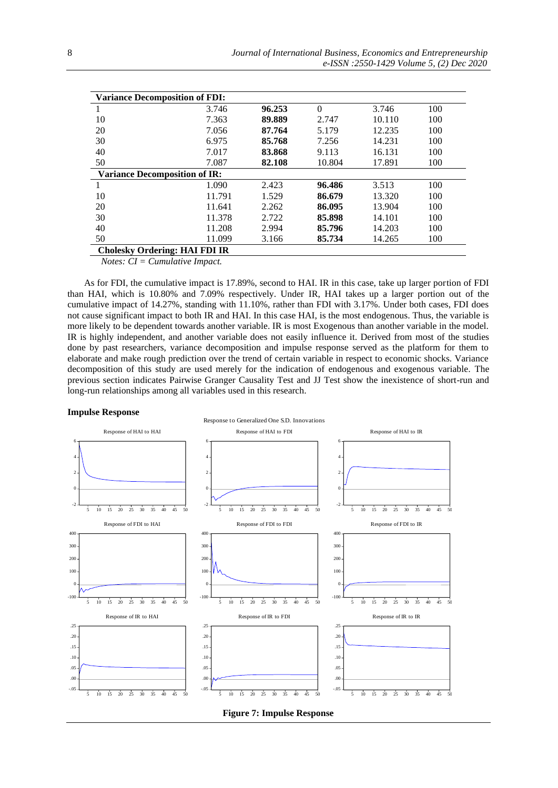| <b>Variance Decomposition of FDI:</b> |                                      |        |          |        |     |  |  |
|---------------------------------------|--------------------------------------|--------|----------|--------|-----|--|--|
|                                       | 3.746                                | 96.253 | $\Omega$ | 3.746  | 100 |  |  |
| 10                                    | 7.363                                | 89.889 | 2.747    | 10.110 | 100 |  |  |
| 20                                    | 7.056                                | 87.764 | 5.179    | 12.235 | 100 |  |  |
| 30                                    | 6.975                                | 85.768 | 7.256    | 14.231 | 100 |  |  |
| 40                                    | 7.017                                | 83.868 | 9.113    | 16.131 | 100 |  |  |
| 50                                    | 7.087                                | 82.108 | 10.804   | 17.891 | 100 |  |  |
|                                       | <b>Variance Decomposition of IR:</b> |        |          |        |     |  |  |
|                                       | 1.090                                | 2.423  | 96.486   | 3.513  | 100 |  |  |
| 10                                    | 11.791                               | 1.529  | 86.679   | 13.320 | 100 |  |  |
| 20                                    | 11.641                               | 2.262  | 86.095   | 13.904 | 100 |  |  |
| 30                                    | 11.378                               | 2.722  | 85.898   | 14.101 | 100 |  |  |
| 40                                    | 11.208                               | 2.994  | 85.796   | 14.203 | 100 |  |  |
| 50                                    | 11.099                               | 3.166  | 85.734   | 14.265 | 100 |  |  |
| <b>Cholesky Ordering: HAI FDI IR</b>  |                                      |        |          |        |     |  |  |

*Notes: CI = Cumulative Impact.* 

As for FDI, the cumulative impact is 17.89%, second to HAI. IR in this case, take up larger portion of FDI than HAI, which is 10.80% and 7.09% respectively. Under IR, HAI takes up a larger portion out of the cumulative impact of 14.27%, standing with 11.10%, rather than FDI with 3.17%. Under both cases, FDI does not cause significant impact to both IR and HAI. In this case HAI, is the most endogenous. Thus, the variable is more likely to be dependent towards another variable. IR is most Exogenous than another variable in the model. IR is highly independent, and another variable does not easily influence it. Derived from most of the studies done by past researchers, variance decomposition and impulse response served as the platform for them to elaborate and make rough prediction over the trend of certain variable in respect to economic shocks. Variance decomposition of this study are used merely for the indication of endogenous and exogenous variable. The previous section indicates Pairwise Granger Causality Test and JJ Test show the inexistence of short-run and long-run relationships among all variables used in this research.

#### **Impulse Response**

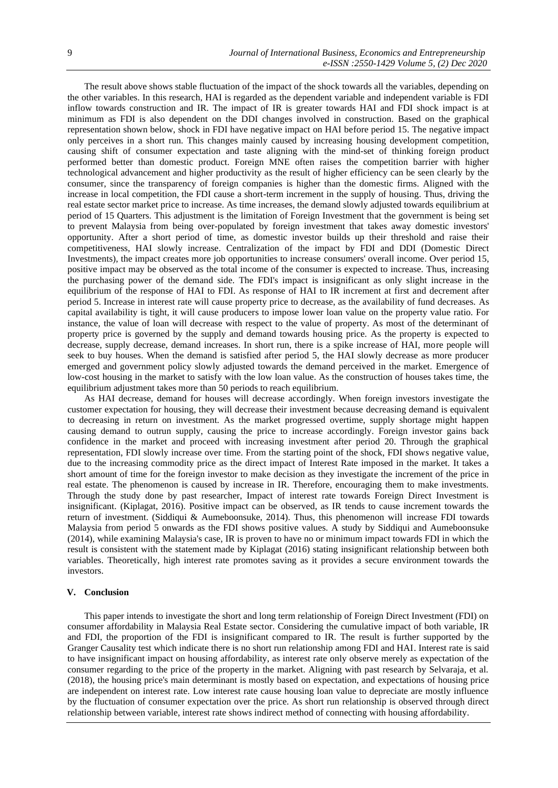The result above shows stable fluctuation of the impact of the shock towards all the variables, depending on the other variables. In this research, HAI is regarded as the dependent variable and independent variable is FDI inflow towards construction and IR. The impact of IR is greater towards HAI and FDI shock impact is at minimum as FDI is also dependent on the DDI changes involved in construction. Based on the graphical representation shown below, shock in FDI have negative impact on HAI before period 15. The negative impact only perceives in a short run. This changes mainly caused by increasing housing development competition, causing shift of consumer expectation and taste aligning with the mind-set of thinking foreign product performed better than domestic product. Foreign MNE often raises the competition barrier with higher technological advancement and higher productivity as the result of higher efficiency can be seen clearly by the consumer, since the transparency of foreign companies is higher than the domestic firms. Aligned with the increase in local competition, the FDI cause a short-term increment in the supply of housing. Thus, driving the real estate sector market price to increase. As time increases, the demand slowly adjusted towards equilibrium at period of 15 Quarters. This adjustment is the limitation of Foreign Investment that the government is being set to prevent Malaysia from being over-populated by foreign investment that takes away domestic investors' opportunity. After a short period of time, as domestic investor builds up their threshold and raise their competitiveness, HAI slowly increase. Centralization of the impact by FDI and DDI (Domestic Direct Investments), the impact creates more job opportunities to increase consumers' overall income. Over period 15, positive impact may be observed as the total income of the consumer is expected to increase. Thus, increasing the purchasing power of the demand side. The FDI's impact is insignificant as only slight increase in the equilibrium of the response of HAI to FDI. As response of HAI to IR increment at first and decrement after period 5. Increase in interest rate will cause property price to decrease, as the availability of fund decreases. As capital availability is tight, it will cause producers to impose lower loan value on the property value ratio. For instance, the value of loan will decrease with respect to the value of property. As most of the determinant of property price is governed by the supply and demand towards housing price. As the property is expected to decrease, supply decrease, demand increases. In short run, there is a spike increase of HAI, more people will seek to buy houses. When the demand is satisfied after period 5, the HAI slowly decrease as more producer emerged and government policy slowly adjusted towards the demand perceived in the market. Emergence of low-cost housing in the market to satisfy with the low loan value. As the construction of houses takes time, the equilibrium adjustment takes more than 50 periods to reach equilibrium.

As HAI decrease, demand for houses will decrease accordingly. When foreign investors investigate the customer expectation for housing, they will decrease their investment because decreasing demand is equivalent to decreasing in return on investment. As the market progressed overtime, supply shortage might happen causing demand to outrun supply, causing the price to increase accordingly. Foreign investor gains back confidence in the market and proceed with increasing investment after period 20. Through the graphical representation, FDI slowly increase over time. From the starting point of the shock, FDI shows negative value, due to the increasing commodity price as the direct impact of Interest Rate imposed in the market. It takes a short amount of time for the foreign investor to make decision as they investigate the increment of the price in real estate. The phenomenon is caused by increase in IR. Therefore, encouraging them to make investments. Through the study done by past researcher, Impact of interest rate towards Foreign Direct Investment is insignificant. (Kiplagat, 2016). Positive impact can be observed, as IR tends to cause increment towards the return of investment. (Siddiqui & Aumeboonsuke, 2014). Thus, this phenomenon will increase FDI towards Malaysia from period 5 onwards as the FDI shows positive values. A study by Siddiqui and Aumeboonsuke (2014), while examining Malaysia's case, IR is proven to have no or minimum impact towards FDI in which the result is consistent with the statement made by Kiplagat (2016) stating insignificant relationship between both variables. Theoretically, high interest rate promotes saving as it provides a secure environment towards the investors.

#### **V. Conclusion**

This paper intends to investigate the short and long term relationship of Foreign Direct Investment (FDI) on consumer affordability in Malaysia Real Estate sector. Considering the cumulative impact of both variable, IR and FDI, the proportion of the FDI is insignificant compared to IR. The result is further supported by the Granger Causality test which indicate there is no short run relationship among FDI and HAI. Interest rate is said to have insignificant impact on housing affordability, as interest rate only observe merely as expectation of the consumer regarding to the price of the property in the market. Aligning with past research by Selvaraja, et al. (2018), the housing price's main determinant is mostly based on expectation, and expectations of housing price are independent on interest rate. Low interest rate cause housing loan value to depreciate are mostly influence by the fluctuation of consumer expectation over the price. As short run relationship is observed through direct relationship between variable, interest rate shows indirect method of connecting with housing affordability.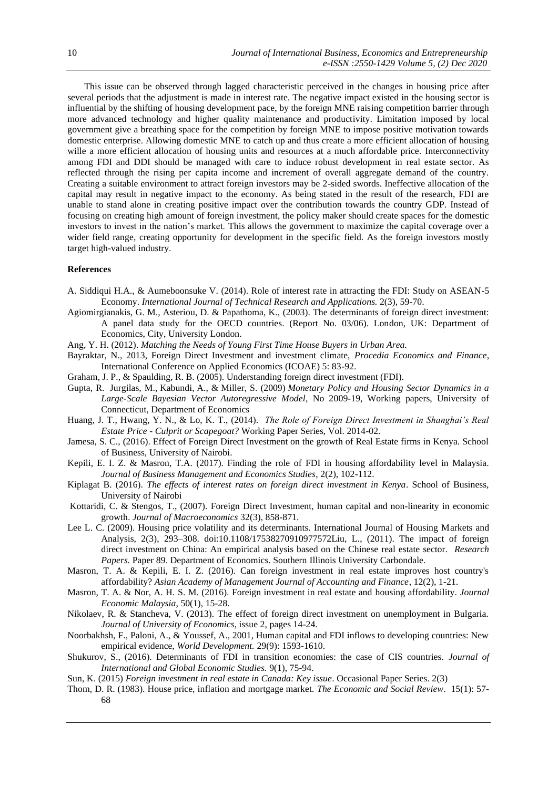This issue can be observed through lagged characteristic perceived in the changes in housing price after several periods that the adjustment is made in interest rate. The negative impact existed in the housing sector is influential by the shifting of housing development pace, by the foreign MNE raising competition barrier through more advanced technology and higher quality maintenance and productivity. Limitation imposed by local government give a breathing space for the competition by foreign MNE to impose positive motivation towards domestic enterprise. Allowing domestic MNE to catch up and thus create a more efficient allocation of housing wille a more efficient allocation of housing units and resources at a much affordable price. Interconnectivity among FDI and DDI should be managed with care to induce robust development in real estate sector. As reflected through the rising per capita income and increment of overall aggregate demand of the country. Creating a suitable environment to attract foreign investors may be 2-sided swords. Ineffective allocation of the capital may result in negative impact to the economy. As being stated in the result of the research, FDI are unable to stand alone in creating positive impact over the contribution towards the country GDP. Instead of focusing on creating high amount of foreign investment, the policy maker should create spaces for the domestic investors to invest in the nation's market. This allows the government to maximize the capital coverage over a wider field range, creating opportunity for development in the specific field. As the foreign investors mostly target high-valued industry.

### **References**

- A. Siddiqui H.A., & Aumeboonsuke V. (2014). Role of interest rate in attracting the FDI: Study on ASEAN-5 Economy. *International Journal of Technical Research and Applications.* 2(3), 59-70.
- Agiomirgianakis, G. M., Asteriou, D. & Papathoma, K., (2003). The determinants of foreign direct investment: A panel data study for the OECD countries. (Report No. 03/06). London, UK: Department of Economics, City, University London.
- Ang, Y. H. (2012). *Matching the Needs of Young First Time House Buyers in Urban Area.*
- Bayraktar, N., 2013, Foreign Direct Investment and investment climate, *Procedia Economics and Finance*, International Conference on Applied Economics (ICOAE) 5: 83-92.
- Graham, J. P., & Spaulding, R. B. (2005). Understanding foreign direct investment (FDI).
- Gupta, R. Jurgilas, M., Kabundi, A., & Miller, S. (2009) *Monetary Policy and Housing Sector Dynamics in a Large-Scale Bayesian Vector Autoregressive Model*, No 2009-19, Working papers, University of Connecticut, Department of Economics
- Huang, J. T., Hwang, Y. N., & Lo, K. T., (2014). *The Role of Foreign Direct Investment in Shanghai's Real Estate Price - Culprit or Scapegoat?* Working Paper Series, Vol. 2014-02.
- Jamesa, S. C., (2016). Effect of Foreign Direct Investment on the growth of Real Estate firms in Kenya. School of Business, University of Nairobi.
- Kepili, E. I. Z. & Masron, T.A. (2017). Finding the role of FDI in housing affordability level in Malaysia. *Journal of Business Management and Economics Studies*, 2(2), 102-112.
- Kiplagat B. (2016). *The effects of interest rates on foreign direct investment in Kenya*. School of Business, University of Nairobi
- Kottaridi, C. & Stengos, T., (2007). Foreign Direct Investment, human capital and non-linearity in economic growth. *Journal of Macroeconomics* 32(3), 858-871.
- Lee L. C. (2009). Housing price volatility and its determinants. International Journal of Housing Markets and Analysis, 2(3), 293–308. doi:10.1108/17538270910977572Liu, L., (2011). The impact of foreign direct investment on China: An empirical analysis based on the Chinese real estate sector. *Research Papers.* Paper 89. Department of Economics. Southern Illinois University Carbondale.
- Masron, T. A. & Kepili, E. I. Z. (2016). Can foreign investment in real estate improves host country's affordability? *Asian Academy of Management Journal of Accounting and Finance*, 12(2), 1-21.
- Masron, T. A. & Nor, A. H. S. M. (2016). Foreign investment in real estate and housing affordability. *Journal Economic Malaysia*, 50(1), 15-28.
- Nikolaev, R. & Stancheva, V. (2013). The effect of foreign direct investment on unemployment in Bulgaria. *Journal of University of Economics*, issue 2, pages 14-24.
- Noorbakhsh, F., Paloni, A., & Youssef, A., 2001, Human capital and FDI inflows to developing countries: New empirical evidence, *World Development.* 29(9): 1593-1610.
- Shukurov, S., (2016). Determinants of FDI in transition economies: the case of CIS countries. *Journal of International and Global Economic Studies.* 9(1), 75-94.
- Sun, K. (2015) *Foreign investment in real estate in Canada: Key issue*. Occasional Paper Series. 2(3)
- Thom, D. R. (1983). House price, inflation and mortgage market. *The Economic and Social Review*. 15(1): 57- 68